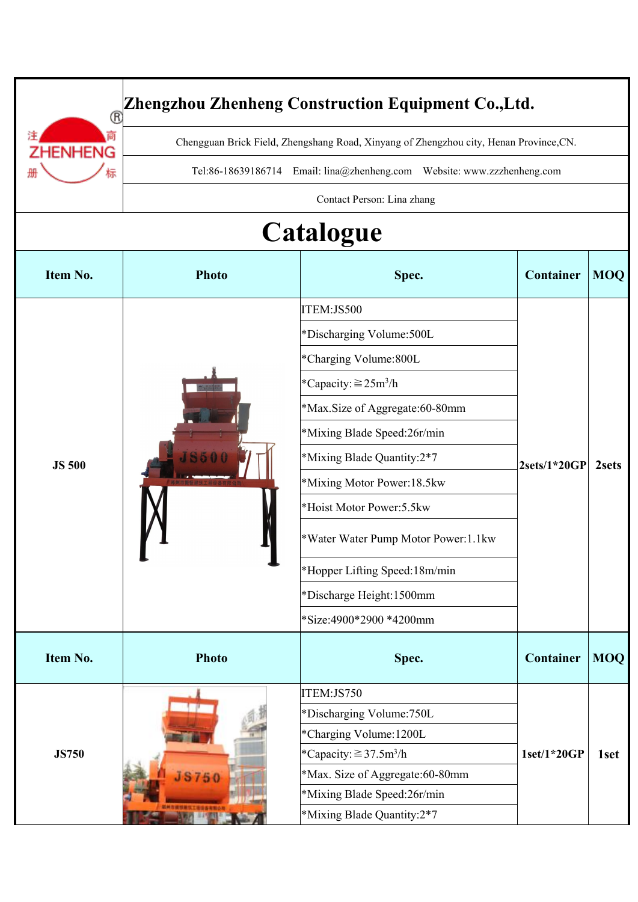|               |                                                                                        | Zhengzhou Zhenheng Construction Equipment Co., Ltd.                     |                |            |
|---------------|----------------------------------------------------------------------------------------|-------------------------------------------------------------------------|----------------|------------|
| ®<br>IHENG    | Chengguan Brick Field, Zhengshang Road, Xinyang of Zhengzhou city, Henan Province, CN. |                                                                         |                |            |
|               |                                                                                        | Tel:86-18639186714 Email: lina@zhenheng.com Website: www.zzzhenheng.com |                |            |
|               |                                                                                        | Contact Person: Lina zhang                                              |                |            |
|               |                                                                                        |                                                                         |                |            |
|               |                                                                                        | <b>Catalogue</b>                                                        |                |            |
| Item No.      | <b>Photo</b>                                                                           | Spec.                                                                   | Container      | MOQ        |
|               |                                                                                        | ITEM:JS500                                                              |                |            |
|               |                                                                                        | *Discharging Volume: 500L                                               | $2sets/1*20GP$ |            |
|               |                                                                                        | *Charging Volume:800L                                                   |                |            |
|               |                                                                                        | <i>*</i> Capacity: ≧25m <sup>3</sup> /h                                 |                |            |
|               |                                                                                        | *Max.Size of Aggregate:60-80mm                                          |                |            |
|               |                                                                                        | *Mixing Blade Speed:26r/min                                             |                |            |
|               |                                                                                        | *Mixing Blade Quantity:2*7                                              |                |            |
| <b>JS 500</b> | J                                                                                      | *Mixing Motor Power:18.5kw                                              |                | 2sets      |
|               |                                                                                        | *Hoist Motor Power: 5.5kw                                               |                |            |
|               |                                                                                        | *Water Water Pump Motor Power:1.1kw                                     |                |            |
|               |                                                                                        | *Hopper Lifting Speed: 18m/min                                          |                |            |
|               |                                                                                        | *Discharge Height:1500mm                                                |                |            |
|               |                                                                                        | *Size:4900*2900 *4200mm                                                 |                |            |
| Item No.      | <b>Photo</b>                                                                           | Spec.                                                                   | Container      | <b>MOQ</b> |
|               |                                                                                        | ITEM:JS750                                                              |                |            |
|               |                                                                                        | *Discharging Volume: 750L                                               |                |            |
|               |                                                                                        | *Charging Volume: 1200L                                                 |                |            |
| <b>JS750</b>  |                                                                                        | *Capacity: $\geq$ 37.5m <sup>3</sup> /h                                 | $1set/1*20GP$  | 1set       |
|               | <b>JS750</b>                                                                           | *Max. Size of Aggregate:60-80mm<br>*Mixing Blade Speed:26r/min          |                |            |
|               | 初州市銀短線気工後信告有限公                                                                         | *Mixing Blade Quantity:2*7                                              |                |            |
|               |                                                                                        |                                                                         |                |            |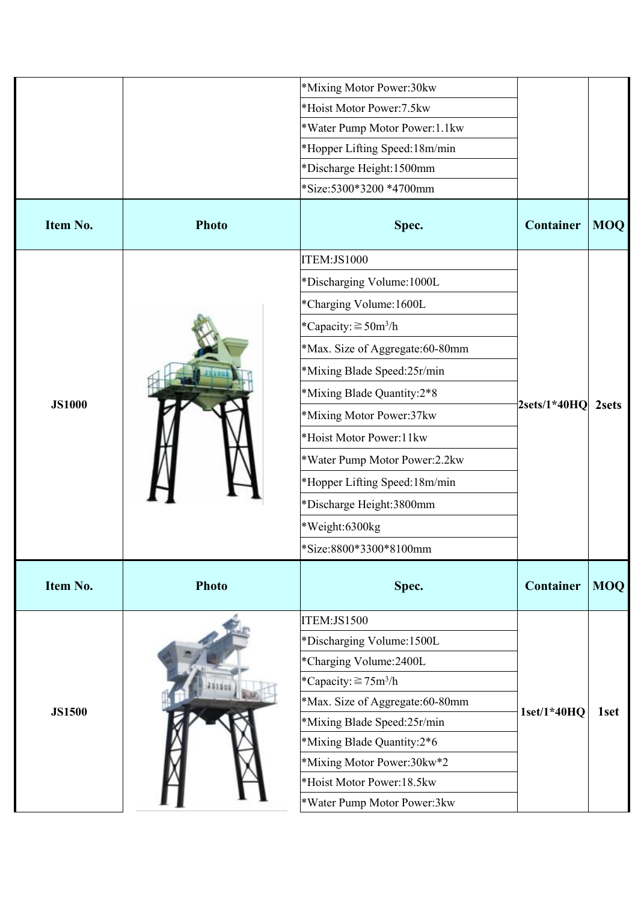|               |              | *Mixing Motor Power:30kw              |                |            |
|---------------|--------------|---------------------------------------|----------------|------------|
|               |              | *Hoist Motor Power:7.5kw              |                |            |
|               |              | *Water Pump Motor Power:1.1kw         |                |            |
|               |              | *Hopper Lifting Speed: 18m/min        |                |            |
|               |              | *Discharge Height:1500mm              |                |            |
|               |              | *Size:5300*3200 *4700mm               |                |            |
| Item No.      | <b>Photo</b> | Spec.                                 | Container      | <b>MOQ</b> |
|               |              | ITEM:JS1000                           |                |            |
|               |              | *Discharging Volume: 1000L            |                | 2sets      |
|               |              | *Charging Volume: 1600L               |                |            |
|               |              | $*$ Capacity: ≧50m <sup>3</sup> /h    |                |            |
|               |              | *Max. Size of Aggregate:60-80mm       | $2sets/1*40HO$ |            |
|               |              | *Mixing Blade Speed:25r/min           |                |            |
|               |              | *Mixing Blade Quantity:2*8            |                |            |
| <b>JS1000</b> |              | *Mixing Motor Power:37kw              |                |            |
|               |              | *Hoist Motor Power:11kw               |                |            |
|               |              | *Water Pump Motor Power:2.2kw         |                |            |
|               |              | *Hopper Lifting Speed:18m/min         |                |            |
|               |              | *Discharge Height:3800mm              |                |            |
|               |              | *Weight:6300kg                        |                |            |
|               |              | *Size:8800*3300*8100mm                |                |            |
|               |              |                                       |                |            |
| Item No.      | <b>Photo</b> | Spec.                                 | Container      | <b>MOQ</b> |
|               |              | ITEM:JS1500                           |                |            |
|               |              | *Discharging Volume:1500L             | $1set/1*40HQ$  |            |
|               |              | *Charging Volume:2400L                |                | 1set       |
|               |              | *Capacity: $\geq$ 75m <sup>3</sup> /h |                |            |
| <b>JS1500</b> |              | *Max. Size of Aggregate:60-80mm       |                |            |
|               |              | *Mixing Blade Speed:25r/min           |                |            |
|               |              | *Mixing Blade Quantity:2*6            |                |            |
|               |              | *Mixing Motor Power:30kw*2            |                |            |
|               |              | *Hoist Motor Power:18.5kw             |                |            |
|               |              | *Water Pump Motor Power:3kw           |                |            |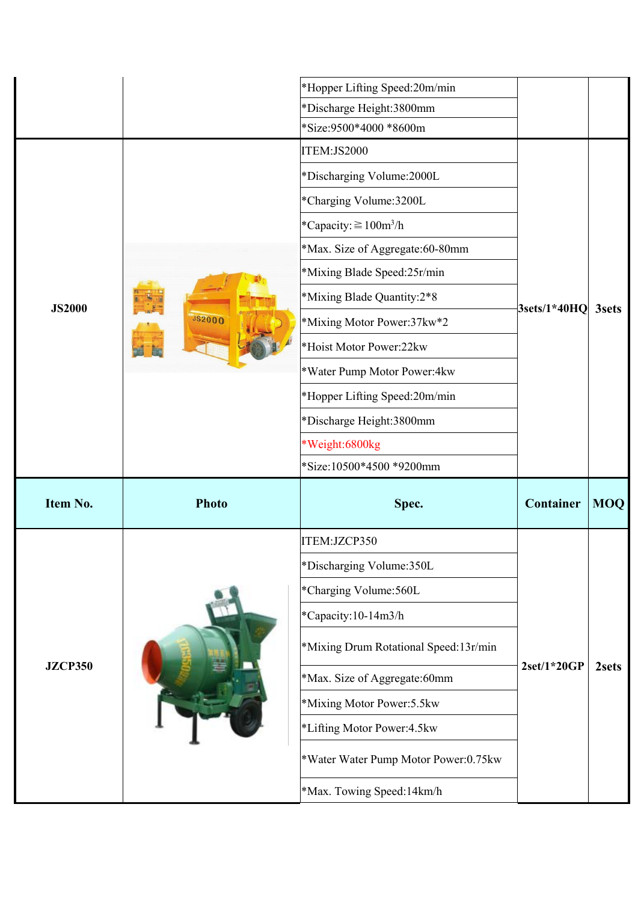|                |               | *Hopper Lifting Speed:20m/min             |               |              |
|----------------|---------------|-------------------------------------------|---------------|--------------|
|                |               | *Discharge Height:3800mm                  |               |              |
|                |               | *Size:9500*4000 *8600m                    |               |              |
|                | <b>JS2000</b> | ITEM:JS2000                               |               | <b>3sets</b> |
|                |               | *Discharging Volume:2000L                 |               |              |
|                |               | *Charging Volume:3200L                    |               |              |
|                |               | *Capacity: $\geq 100 \text{m}^3/\text{h}$ | 3sets/1*40HQ  |              |
|                |               | *Max. Size of Aggregate:60-80mm           |               |              |
|                |               | *Mixing Blade Speed:25r/min               |               |              |
| <b>JS2000</b>  |               | *Mixing Blade Quantity:2*8                |               |              |
|                |               | *Mixing Motor Power:37kw*2                |               |              |
|                |               | *Hoist Motor Power:22kw                   |               |              |
|                |               | *Water Pump Motor Power:4kw               |               |              |
|                |               | *Hopper Lifting Speed:20m/min             |               |              |
|                |               | *Discharge Height:3800mm                  |               |              |
|                |               |                                           |               |              |
|                |               | *Weight:6800kg                            |               |              |
|                |               | *Size:10500*4500 *9200mm                  |               |              |
| Item No.       | <b>Photo</b>  | Spec.                                     | Container     | <b>MOQ</b>   |
|                |               | ITEM:JZCP350                              |               |              |
|                |               | *Discharging Volume:350L                  |               |              |
|                |               | *Charging Volume:560L                     |               |              |
|                |               | *Capacity:10-14m3/h                       |               |              |
|                |               | *Mixing Drum Rotational Speed:13r/min     |               |              |
| <b>JZCP350</b> |               | *Max. Size of Aggregate:60mm              | $2set/1*20GP$ | 2sets        |
|                |               | *Mixing Motor Power:5.5kw                 |               |              |
|                |               | *Lifting Motor Power: 4.5kw               |               |              |
|                |               | *Water Water Pump Motor Power:0.75kw      |               |              |
|                |               | *Max. Towing Speed:14km/h                 |               |              |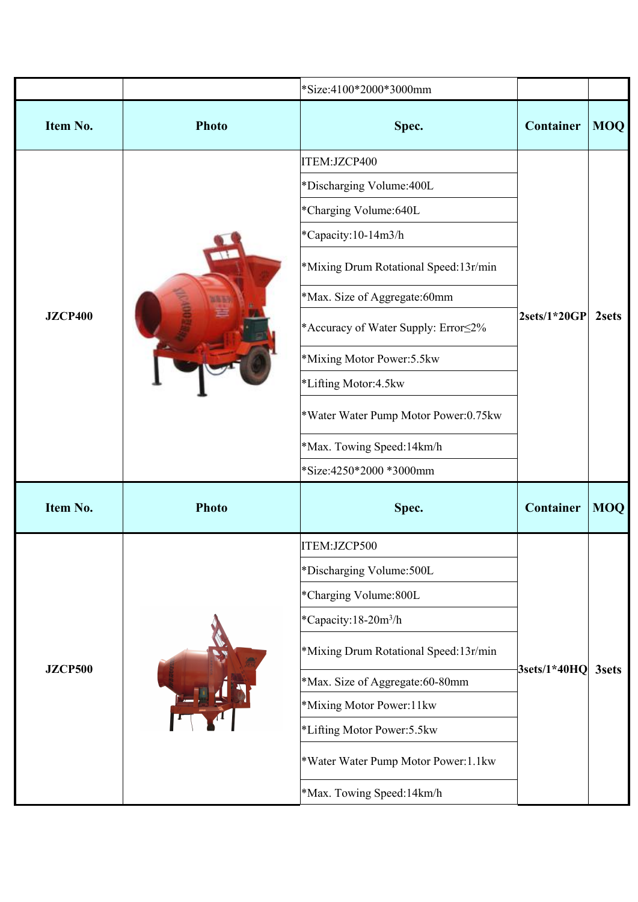|                |              | *Size:4100*2000*3000mm                   |                  |            |
|----------------|--------------|------------------------------------------|------------------|------------|
| Item No.       | <b>Photo</b> | Spec.                                    | Container        | <b>MOQ</b> |
|                |              | ITEM:JZCP400                             |                  |            |
|                |              | *Discharging Volume: 400L                |                  |            |
|                |              | *Charging Volume:640L                    |                  |            |
|                |              | *Capacity:10-14m3/h                      | $ 2sets/1*20GP $ |            |
|                |              | *Mixing Drum Rotational Speed:13r/min    |                  |            |
|                |              | *Max. Size of Aggregate:60mm             |                  | 2sets      |
| <b>JZCP400</b> |              | *Accuracy of Water Supply: Error  set 2% |                  |            |
|                |              | *Mixing Motor Power:5.5kw                |                  |            |
|                |              | *Lifting Motor:4.5kw                     |                  |            |
|                |              | *Water Water Pump Motor Power:0.75kw     |                  |            |
|                |              | *Max. Towing Speed:14km/h                |                  |            |
|                |              | *Size:4250*2000 *3000mm                  |                  |            |
| Item No.       | <b>Photo</b> | Spec.                                    | Container        | <b>MOQ</b> |
|                |              | ITEM:JZCP500                             | $3sets/1*40HQ$   |            |
|                |              | *Discharging Volume: 500L                |                  |            |
|                |              | *Charging Volume:800L                    |                  |            |
|                |              | *Capacity:18-20m <sup>3</sup> /h         |                  |            |
|                |              | *Mixing Drum Rotational Speed:13r/min    |                  | 3sets      |
| <b>JZCP500</b> |              | *Max. Size of Aggregate:60-80mm          |                  |            |
|                |              | *Mixing Motor Power:11kw                 |                  |            |
|                |              | *Lifting Motor Power:5.5kw               |                  |            |
|                |              | *Water Water Pump Motor Power:1.1kw      |                  |            |
|                |              | *Max. Towing Speed:14km/h                |                  |            |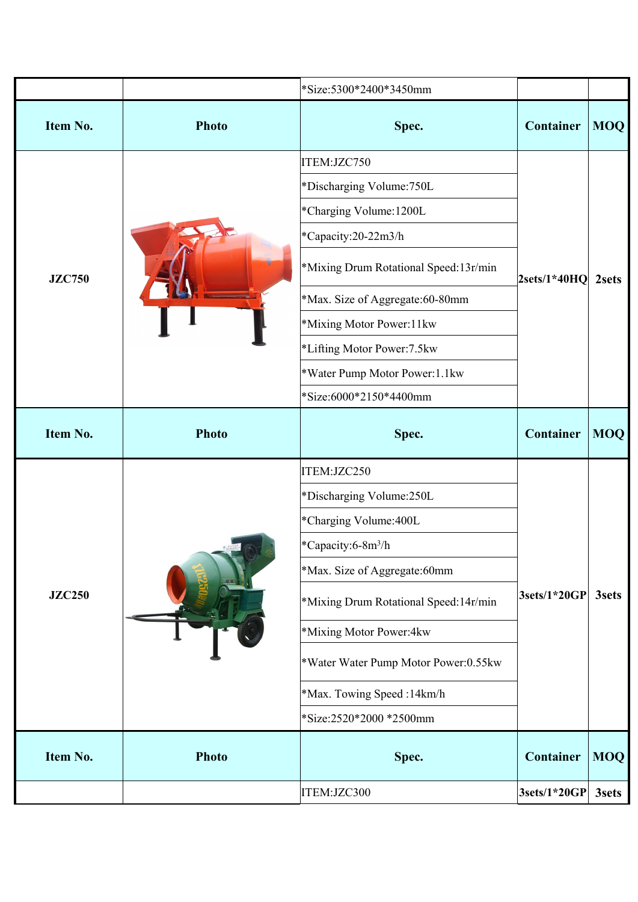|               |              | *Size:5300*2400*3450mm                |                  |            |
|---------------|--------------|---------------------------------------|------------------|------------|
| Item No.      | <b>Photo</b> | Spec.                                 | Container        | <b>MOQ</b> |
|               |              | ITEM:JZC750                           |                  | 2sets      |
|               |              | *Discharging Volume:750L              |                  |            |
|               |              | *Charging Volume: 1200L               | $ 2sets/1*40HQ $ |            |
| <b>JZC750</b> |              | *Capacity:20-22m3/h                   |                  |            |
|               |              | *Mixing Drum Rotational Speed:13r/min |                  |            |
|               |              | *Max. Size of Aggregate:60-80mm       |                  |            |
|               |              | *Mixing Motor Power:11kw              |                  |            |
|               |              | *Lifting Motor Power:7.5kw            |                  |            |
|               |              | *Water Pump Motor Power:1.1kw         |                  |            |
|               |              | *Size:6000*2150*4400mm                |                  |            |
| Item No.      | <b>Photo</b> | Spec.                                 | Container        | <b>MOQ</b> |
|               |              | ITEM:JZC250                           |                  |            |
|               |              |                                       |                  |            |
|               |              | *Discharging Volume:250L              |                  |            |
|               |              | *Charging Volume: 400L                |                  |            |
|               |              | *Capacity:6-8m <sup>3</sup> /h        |                  |            |
|               |              | *Max. Size of Aggregate:60mm          |                  |            |
| <b>JZC250</b> |              | *Mixing Drum Rotational Speed:14r/min | $ 3sets/1*20GP $ | 3sets      |
|               |              | *Mixing Motor Power:4kw               |                  |            |
|               |              | *Water Water Pump Motor Power:0.55kw  |                  |            |
|               |              | *Max. Towing Speed:14km/h             |                  |            |
|               |              | *Size:2520*2000 *2500mm               |                  |            |
| Item No.      | <b>Photo</b> | Spec.                                 | Container        | <b>MOQ</b> |